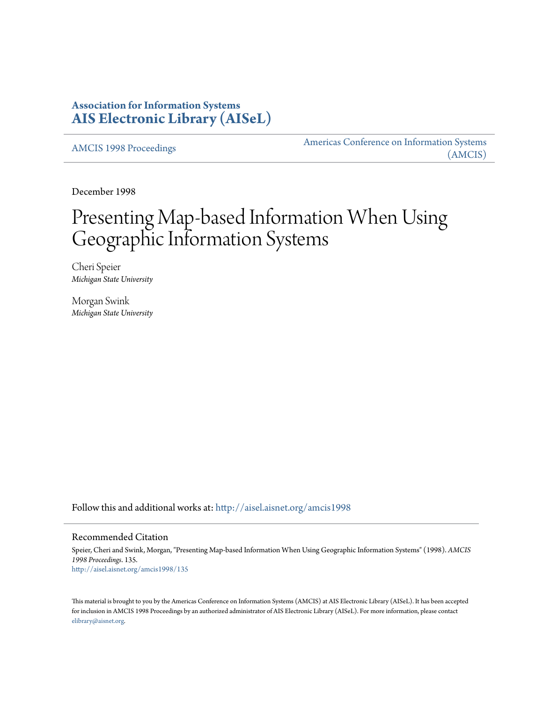# **Association for Information Systems [AIS Electronic Library \(AISeL\)](http://aisel.aisnet.org?utm_source=aisel.aisnet.org%2Famcis1998%2F135&utm_medium=PDF&utm_campaign=PDFCoverPages)**

[AMCIS 1998 Proceedings](http://aisel.aisnet.org/amcis1998?utm_source=aisel.aisnet.org%2Famcis1998%2F135&utm_medium=PDF&utm_campaign=PDFCoverPages)

[Americas Conference on Information Systems](http://aisel.aisnet.org/amcis?utm_source=aisel.aisnet.org%2Famcis1998%2F135&utm_medium=PDF&utm_campaign=PDFCoverPages) [\(AMCIS\)](http://aisel.aisnet.org/amcis?utm_source=aisel.aisnet.org%2Famcis1998%2F135&utm_medium=PDF&utm_campaign=PDFCoverPages)

December 1998

# Presenting Map-based Information When Using Geographic Information Systems

Cheri Speier *Michigan State University*

Morgan Swink *Michigan State University*

Follow this and additional works at: [http://aisel.aisnet.org/amcis1998](http://aisel.aisnet.org/amcis1998?utm_source=aisel.aisnet.org%2Famcis1998%2F135&utm_medium=PDF&utm_campaign=PDFCoverPages)

#### Recommended Citation

Speier, Cheri and Swink, Morgan, "Presenting Map-based Information When Using Geographic Information Systems" (1998). *AMCIS 1998 Proceedings*. 135. [http://aisel.aisnet.org/amcis1998/135](http://aisel.aisnet.org/amcis1998/135?utm_source=aisel.aisnet.org%2Famcis1998%2F135&utm_medium=PDF&utm_campaign=PDFCoverPages)

This material is brought to you by the Americas Conference on Information Systems (AMCIS) at AIS Electronic Library (AISeL). It has been accepted for inclusion in AMCIS 1998 Proceedings by an authorized administrator of AIS Electronic Library (AISeL). For more information, please contact [elibrary@aisnet.org.](mailto:elibrary@aisnet.org%3E)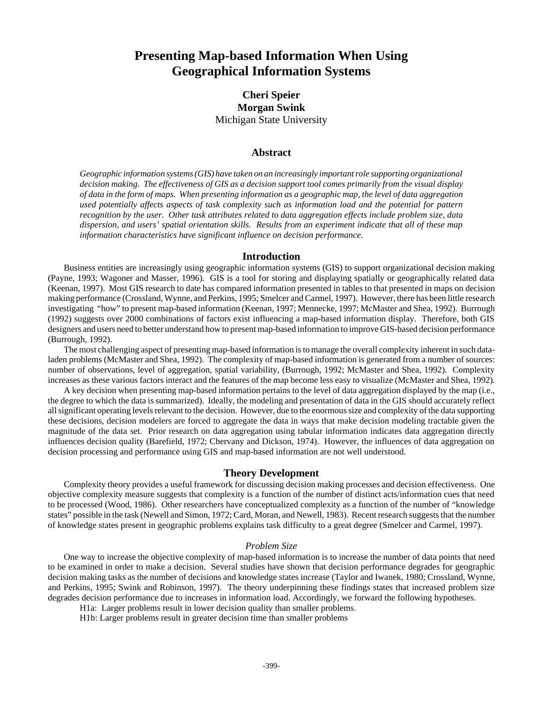# **Presenting Map-based Information When Using Geographical Information Systems**

## **Cheri Speier Morgan Swink** Michigan State University

### **Abstract**

*Geographic information systems (GIS) have taken on an increasingly important role supporting organizational decision making. The effectiveness of GIS as a decision support tool comes primarily from the visual display of data in the form of maps. When presenting information as a geographic map, the level of data aggregation used potentially affects aspects of task complexity such as information load and the potential for pattern recognition by the user. Other task attributes related to data aggregation effects include problem size, data dispersion, and users' spatial orientation skills. Results from an experiment indicate that all of these map information characteristics have significant influence on decision performance.*

#### **Introduction**

Business entities are increasingly using geographic information systems (GIS) to support organizational decision making (Payne, 1993; Wagoner and Masser, 1996). GIS is a tool for storing and displaying spatially or geographically related data (Keenan, 1997). Most GIS research to date has compared information presented in tables to that presented in maps on decision making performance (Crossland, Wynne, and Perkins, 1995; Smelcer and Carmel, 1997). However, there has been little research investigating "how" to present map-based information (Keenan, 1997; Mennecke, 1997; McMaster and Shea, 1992). Burrough (1992) suggests over 2000 combinations of factors exist influencing a map-based information display. Therefore, both GIS designers and users need to better understand how to present map-based information to improve GIS-based decision performance (Burrough, 1992).

The most challenging aspect of presenting map-based information is to manage the overall complexity inherent in such dataladen problems (McMaster and Shea, 1992). The complexity of map-based information is generated from a number of sources: number of observations, level of aggregation, spatial variability, (Burrough, 1992; McMaster and Shea, 1992). Complexity increases as these various factors interact and the features of the map become less easy to visualize (McMaster and Shea, 1992).

A key decision when presenting map-based information pertains to the level of data aggregation displayed by the map (i.e., the degree to which the data is summarized). Ideally, the modeling and presentation of data in the GIS should accurately reflect all significant operating levels relevant to the decision. However, due to the enormous size and complexity of the data supporting these decisions, decision modelers are forced to aggregate the data in ways that make decision modeling tractable given the magnitude of the data set. Prior research on data aggregation using tabular information indicates data aggregation directly influences decision quality (Barefield, 1972; Chervany and Dickson, 1974). However, the influences of data aggregation on decision processing and performance using GIS and map-based information are not well understood.

#### **Theory Development**

Complexity theory provides a useful framework for discussing decision making processes and decision effectiveness. One objective complexity measure suggests that complexity is a function of the number of distinct acts/information cues that need to be processed (Wood, 1986). Other researchers have conceptualized complexity as a function of the number of "knowledge states" possible in the task (Newell and Simon, 1972; Card, Moran, and Newell, 1983). Recent research suggests that the number of knowledge states present in geographic problems explains task difficulty to a great degree (Smelcer and Carmel, 1997).

#### *Problem Size*

One way to increase the objective complexity of map-based information is to increase the number of data points that need to be examined in order to make a decision. Several studies have shown that decision performance degrades for geographic decision making tasks as the number of decisions and knowledge states increase (Taylor and Iwanek, 1980; Crossland, Wynne, and Perkins, 1995; Swink and Robinson, 1997). The theory underpinning these findings states that increased problem size degrades decision performance due to increases in information load. Accordingly, we forward the following hypotheses.

H1a: Larger problems result in lower decision quality than smaller problems.

H1b: Larger problems result in greater decision time than smaller problems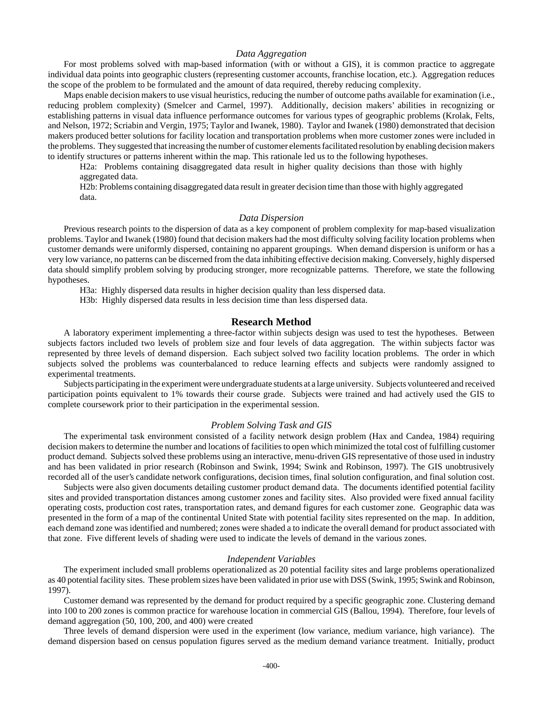#### *Data Aggregation*

For most problems solved with map-based information (with or without a GIS), it is common practice to aggregate individual data points into geographic clusters (representing customer accounts, franchise location, etc.). Aggregation reduces the scope of the problem to be formulated and the amount of data required, thereby reducing complexity.

Maps enable decision makers to use visual heuristics, reducing the number of outcome paths available for examination (i.e., reducing problem complexity) (Smelcer and Carmel, 1997). Additionally, decision makers' abilities in recognizing or establishing patterns in visual data influence performance outcomes for various types of geographic problems (Krolak, Felts, and Nelson, 1972; Scriabin and Vergin, 1975; Taylor and Iwanek, 1980). Taylor and Iwanek (1980) demonstrated that decision makers produced better solutions for facility location and transportation problems when more customer zones were included in the problems. They suggested that increasing the number of customer elements facilitated resolution by enabling decision makers to identify structures or patterns inherent within the map. This rationale led us to the following hypotheses.

H2a: Problems containing disaggregated data result in higher quality decisions than those with highly aggregated data.

H2b: Problems containing disaggregated data result in greater decision time than those with highly aggregated data.

#### *Data Dispersion*

Previous research points to the dispersion of data as a key component of problem complexity for map-based visualization problems. Taylor and Iwanek (1980) found that decision makers had the most difficulty solving facility location problems when customer demands were uniformly dispersed, containing no apparent groupings. When demand dispersion is uniform or has a very low variance, no patterns can be discerned from the data inhibiting effective decision making. Conversely, highly dispersed data should simplify problem solving by producing stronger, more recognizable patterns. Therefore, we state the following hypotheses.

H3a: Highly dispersed data results in higher decision quality than less dispersed data.

H3b: Highly dispersed data results in less decision time than less dispersed data.

#### **Research Method**

A laboratory experiment implementing a three-factor within subjects design was used to test the hypotheses. Between subjects factors included two levels of problem size and four levels of data aggregation. The within subjects factor was represented by three levels of demand dispersion. Each subject solved two facility location problems. The order in which subjects solved the problems was counterbalanced to reduce learning effects and subjects were randomly assigned to experimental treatments.

Subjects participating in the experiment were undergraduate students at a large university. Subjects volunteered and received participation points equivalent to 1% towards their course grade. Subjects were trained and had actively used the GIS to complete coursework prior to their participation in the experimental session.

#### *Problem Solving Task and GIS*

The experimental task environment consisted of a facility network design problem (Hax and Candea, 1984) requiring decision makers to determine the number and locations of facilities to open which minimized the total cost of fulfilling customer product demand. Subjects solved these problems using an interactive, menu-driven GIS representative of those used in industry and has been validated in prior research (Robinson and Swink, 1994; Swink and Robinson, 1997). The GIS unobtrusively recorded all of the user's candidate network configurations, decision times, final solution configuration, and final solution cost.

Subjects were also given documents detailing customer product demand data. The documents identified potential facility sites and provided transportation distances among customer zones and facility sites. Also provided were fixed annual facility operating costs, production cost rates, transportation rates, and demand figures for each customer zone. Geographic data was presented in the form of a map of the continental United State with potential facility sites represented on the map. In addition, each demand zone was identified and numbered; zones were shaded a to indicate the overall demand for product associated with that zone. Five different levels of shading were used to indicate the levels of demand in the various zones.

#### *Independent Variables*

The experiment included small problems operationalized as 20 potential facility sites and large problems operationalized as 40 potential facility sites. These problem sizes have been validated in prior use with DSS (Swink, 1995; Swink and Robinson, 1997).

Customer demand was represented by the demand for product required by a specific geographic zone. Clustering demand into 100 to 200 zones is common practice for warehouse location in commercial GIS (Ballou, 1994). Therefore, four levels of demand aggregation (50, 100, 200, and 400) were created

Three levels of demand dispersion were used in the experiment (low variance, medium variance, high variance). The demand dispersion based on census population figures served as the medium demand variance treatment. Initially, product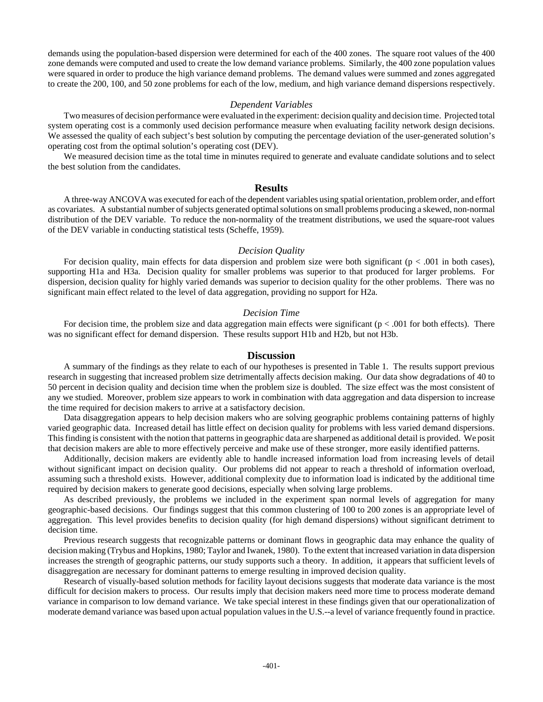demands using the population-based dispersion were determined for each of the 400 zones. The square root values of the 400 zone demands were computed and used to create the low demand variance problems. Similarly, the 400 zone population values were squared in order to produce the high variance demand problems. The demand values were summed and zones aggregated to create the 200, 100, and 50 zone problems for each of the low, medium, and high variance demand dispersions respectively.

#### *Dependent Variables*

Two measures of decision performance were evaluated in the experiment: decision quality and decision time. Projected total system operating cost is a commonly used decision performance measure when evaluating facility network design decisions. We assessed the quality of each subject's best solution by computing the percentage deviation of the user-generated solution's operating cost from the optimal solution's operating cost (DEV).

We measured decision time as the total time in minutes required to generate and evaluate candidate solutions and to select the best solution from the candidates.

#### **Results**

A three-way ANCOVA was executed for each of the dependent variables using spatial orientation, problem order, and effort as covariates. A substantial number of subjects generated optimal solutions on small problems producing a skewed, non-normal distribution of the DEV variable. To reduce the non-normality of the treatment distributions, we used the square-root values of the DEV variable in conducting statistical tests (Scheffe, 1959).

#### *Decision Quality*

For decision quality, main effects for data dispersion and problem size were both significant ( $p < .001$  in both cases), supporting H1a and H3a. Decision quality for smaller problems was superior to that produced for larger problems. For dispersion, decision quality for highly varied demands was superior to decision quality for the other problems. There was no significant main effect related to the level of data aggregation, providing no support for H2a.

#### *Decision Time*

For decision time, the problem size and data aggregation main effects were significant ( $p < .001$  for both effects). There was no significant effect for demand dispersion. These results support H1b and H2b, but not H3b.

#### **Discussion**

A summary of the findings as they relate to each of our hypotheses is presented in Table 1. The results support previous research in suggesting that increased problem size detrimentally affects decision making. Our data show degradations of 40 to 50 percent in decision quality and decision time when the problem size is doubled. The size effect was the most consistent of any we studied. Moreover, problem size appears to work in combination with data aggregation and data dispersion to increase the time required for decision makers to arrive at a satisfactory decision.

Data disaggregation appears to help decision makers who are solving geographic problems containing patterns of highly varied geographic data. Increased detail has little effect on decision quality for problems with less varied demand dispersions. This finding is consistent with the notion that patterns in geographic data are sharpened as additional detail is provided. We posit that decision makers are able to more effectively perceive and make use of these stronger, more easily identified patterns.

Additionally, decision makers are evidently able to handle increased information load from increasing levels of detail without significant impact on decision quality. Our problems did not appear to reach a threshold of information overload, assuming such a threshold exists. However, additional complexity due to information load is indicated by the additional time required by decision makers to generate good decisions, especially when solving large problems.

As described previously, the problems we included in the experiment span normal levels of aggregation for many geographic-based decisions. Our findings suggest that this common clustering of 100 to 200 zones is an appropriate level of aggregation. This level provides benefits to decision quality (for high demand dispersions) without significant detriment to decision time.

Previous research suggests that recognizable patterns or dominant flows in geographic data may enhance the quality of decision making (Trybus and Hopkins, 1980; Taylor and Iwanek, 1980). To the extent that increased variation in data dispersion increases the strength of geographic patterns, our study supports such a theory. In addition, it appears that sufficient levels of disaggregation are necessary for dominant patterns to emerge resulting in improved decision quality.

Research of visually-based solution methods for facility layout decisions suggests that moderate data variance is the most difficult for decision makers to process. Our results imply that decision makers need more time to process moderate demand variance in comparison to low demand variance. We take special interest in these findings given that our operationalization of moderate demand variance was based upon actual population values in the U.S.--a level of variance frequently found in practice.